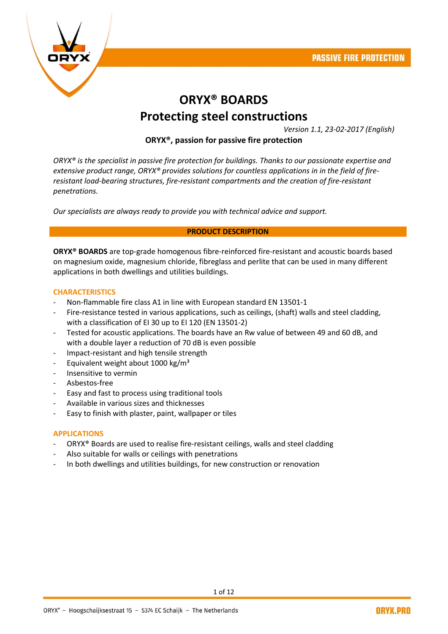

# ORYX® BOARDS Protecting steel constructions

*Version 1.1, 23-02-2017 (English)*

## ORYX®, passion for passive fire protection

*ORYX® is the specialist in passive fire protection for buildings. Thanks to our passionate expertise and extensive product range, ORYX® provides solutions for countless applications in in the field of fireresistant load-bearing structures, fire-resistant compartments and the creation of fire-resistant penetrations.* 

*Our specialists are always ready to provide you with technical advice and support.*

#### PRODUCT DESCRIPTION

ORYX® BOARDS are top-grade homogenous fibre-reinforced fire-resistant and acoustic boards based on magnesium oxide, magnesium chloride, fibreglass and perlite that can be used in many different applications in both dwellings and utilities buildings.

#### **CHARACTERISTICS**

- Non-flammable fire class A1 in line with European standard EN 13501-1
- Fire-resistance tested in various applications, such as ceilings, (shaft) walls and steel cladding, with a classification of EI 30 up to EI 120 (EN 13501-2)
- Tested for acoustic applications. The boards have an Rw value of between 49 and 60 dB, and with a double layer a reduction of 70 dB is even possible
- Impact-resistant and high tensile strength
- Equivalent weight about 1000 kg/ $m<sup>3</sup>$
- Insensitive to vermin
- Asbestos-free
- Easy and fast to process using traditional tools
- Available in various sizes and thicknesses
- Easy to finish with plaster, paint, wallpaper or tiles

#### APPLICATIONS

- ORYX<sup>®</sup> Boards are used to realise fire-resistant ceilings, walls and steel cladding
- Also suitable for walls or ceilings with penetrations
- In both dwellings and utilities buildings, for new construction or renovation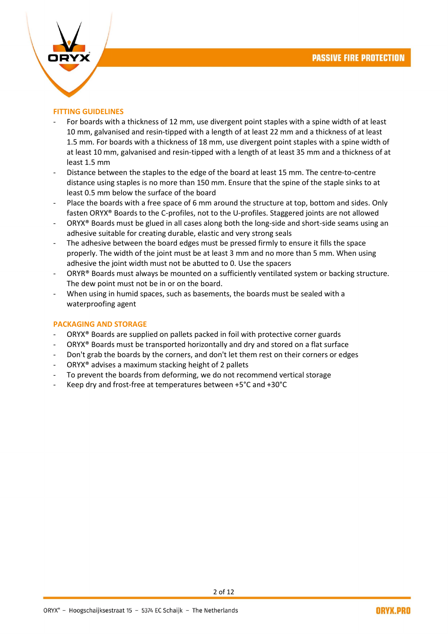

## FITTING GUIDELINES

- For boards with a thickness of 12 mm, use divergent point staples with a spine width of at least 10 mm, galvanised and resin-tipped with a length of at least 22 mm and a thickness of at least 1.5 mm. For boards with a thickness of 18 mm, use divergent point staples with a spine width of at least 10 mm, galvanised and resin-tipped with a length of at least 35 mm and a thickness of at least 1.5 mm
- Distance between the staples to the edge of the board at least 15 mm. The centre-to-centre distance using staples is no more than 150 mm. Ensure that the spine of the staple sinks to at least 0.5 mm below the surface of the board
- Place the boards with a free space of 6 mm around the structure at top, bottom and sides. Only fasten ORYX® Boards to the C-profiles, not to the U-profiles. Staggered joints are not allowed
- ORYX® Boards must be glued in all cases along both the long-side and short-side seams using an adhesive suitable for creating durable, elastic and very strong seals
- The adhesive between the board edges must be pressed firmly to ensure it fills the space properly. The width of the joint must be at least 3 mm and no more than 5 mm. When using adhesive the joint width must not be abutted to 0. Use the spacers
- ORYR® Boards must always be mounted on a sufficiently ventilated system or backing structure. The dew point must not be in or on the board.
- When using in humid spaces, such as basements, the boards must be sealed with a waterproofing agent

#### PACKAGING AND STORAGE

- ORYX<sup>®</sup> Boards are supplied on pallets packed in foil with protective corner guards
- ORYX<sup>®</sup> Boards must be transported horizontally and dry and stored on a flat surface
- Don't grab the boards by the corners, and don't let them rest on their corners or edges
- ORYX<sup>®</sup> advises a maximum stacking height of 2 pallets
- To prevent the boards from deforming, we do not recommend vertical storage
- Keep dry and frost-free at temperatures between +5°C and +30°C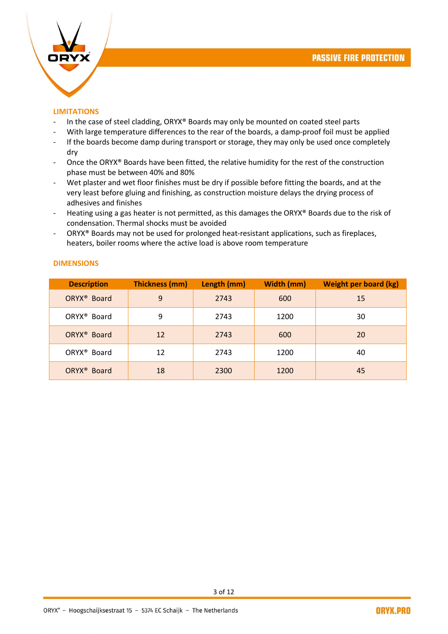

#### LIMITATIONS

- In the case of steel cladding, ORYX® Boards may only be mounted on coated steel parts
- With large temperature differences to the rear of the boards, a damp-proof foil must be applied
- If the boards become damp during transport or storage, they may only be used once completely dry
- Once the ORYX® Boards have been fitted, the relative humidity for the rest of the construction phase must be between 40% and 80%
- Wet plaster and wet floor finishes must be dry if possible before fitting the boards, and at the very least before gluing and finishing, as construction moisture delays the drying process of adhesives and finishes
- Heating using a gas heater is not permitted, as this damages the ORYX® Boards due to the risk of condensation. Thermal shocks must be avoided
- ORYX® Boards may not be used for prolonged heat-resistant applications, such as fireplaces, heaters, boiler rooms where the active load is above room temperature

| г |        |  |  |
|---|--------|--|--|
|   | IVIEIV |  |  |
|   |        |  |  |

| <b>Description</b>      | <b>Thickness (mm)</b> | Length (mm) | Width (mm) | <b>Weight per board (kg)</b> |
|-------------------------|-----------------------|-------------|------------|------------------------------|
| ORYX <sup>®</sup> Board | 9                     | 2743        | 600        | 15                           |
| ORYX <sup>®</sup> Board | 9                     | 2743        | 1200       | 30                           |
| ORYX <sup>®</sup> Board | 12                    | 2743        | 600        | 20                           |
| ORYX <sup>®</sup> Board | 12                    | 2743        | 1200       | 40                           |
| ORYX <sup>®</sup> Board | 18                    | 2300        | 1200       | 45                           |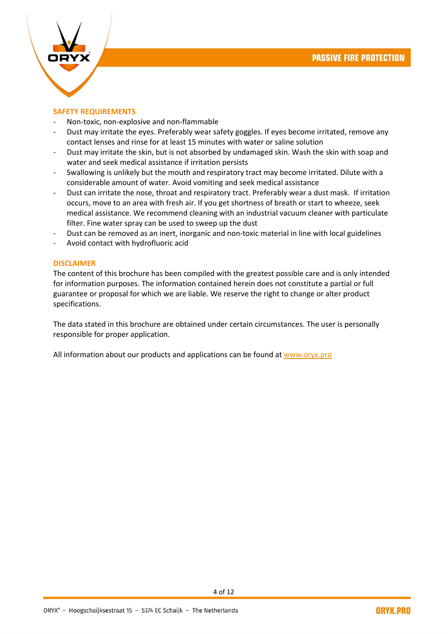

#### SAFETY REQUIREMENTS

- Non-toxic, non-explosive and non-flammable
- Dust may irritate the eyes. Preferably wear safety goggles. If eyes become irritated, remove any contact lenses and rinse for at least 15 minutes with water or saline solution
- Dust may irritate the skin, but is not absorbed by undamaged skin. Wash the skin with soap and water and seek medical assistance if irritation persists
- Swallowing is unlikely but the mouth and respiratory tract may become irritated. Dilute with a considerable amount of water. Avoid vomiting and seek medical assistance
- Dust can irritate the nose, throat and respiratory tract. Preferably wear a dust mask. If irritation occurs, move to an area with fresh air. If you get shortness of breath or start to wheeze, seek medical assistance. We recommend cleaning with an industrial vacuum cleaner with particulate filter. Fine water spray can be used to sweep up the dust
- Dust can be removed as an inert, inorganic and non-toxic material in line with local guidelines
- Avoid contact with hydrofluoric acid

#### DISCLAIMER

The content of this brochure has been compiled with the greatest possible care and is only intended for information purposes. The information contained herein does not constitute a partial or full guarantee or proposal for which we are liable. We reserve the right to change or alter product specifications.

The data stated in this brochure are obtained under certain circumstances. The user is personally responsible for proper application.

All information about our products and applications can be found at [www.oryx.pro](http://www.oryx.pro/)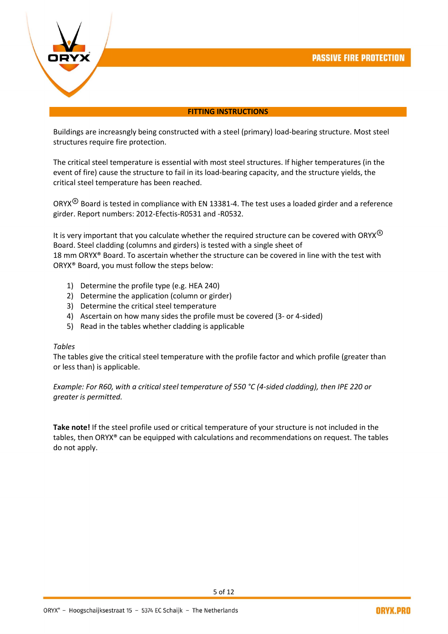

#### FITTING INSTRUCTIONS

Buildings are increasngly being constructed with a steel (primary) load-bearing structure. Most steel structures require fire protection.

The critical steel temperature is essential with most steel structures. If higher temperatures (in the event of fire) cause the structure to fail in its load-bearing capacity, and the structure yields, the critical steel temperature has been reached.

ORYX<sup>®</sup> Board is tested in compliance with EN 13381-4. The test uses a loaded girder and a reference girder. Report numbers: 2012-Efectis-R0531 and -R0532.

It is very important that you calculate whether the required structure can be covered with ORYX<sup>®</sup> Board. Steel cladding (columns and girders) is tested with a single sheet of 18 mm ORYX® Board. To ascertain whether the structure can be covered in line with the test with ORYX® Board, you must follow the steps below:

- 1) Determine the profile type (e.g. HEA 240)
- 2) Determine the application (column or girder)
- 3) Determine the critical steel temperature
- 4) Ascertain on how many sides the profile must be covered (3- or 4-sided)
- 5) Read in the tables whether cladding is applicable

#### *Tables*

The tables give the critical steel temperature with the profile factor and which profile (greater than or less than) is applicable.

*Example: For R60, with a critical steel temperature of 550 °C (4-sided cladding), then IPE 220 or greater is permitted.* 

Take note! If the steel profile used or critical temperature of your structure is not included in the tables, then ORYX® can be equipped with calculations and recommendations on request. The tables do not apply.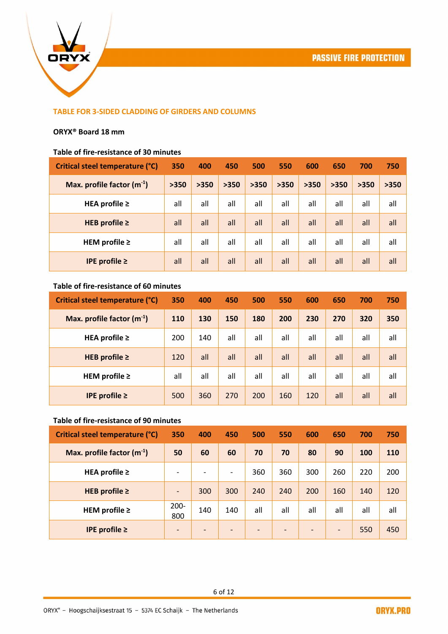

## TABLE FOR 3-SIDED CLADDING OF GIRDERS AND COLUMNS

#### ORYX® Board 18 mm

#### Table of fire-resistance of 30 minutes

| Critical steel temperature (°C) | 350  | 400  | 450  | 500  | 550  | 600  | 650  | 700  | 750  |
|---------------------------------|------|------|------|------|------|------|------|------|------|
| Max. profile factor $(m^{-1})$  | >350 | >350 | >350 | >350 | >350 | >350 | >350 | >350 | >350 |
| HEA profile $\geq$              | all  | all  | all  | all  | all  | all  | all  | all  | all  |
| HEB profile $\geq$              | all  | all  | all  | all  | all  | all  | all  | all  | all  |
| HEM profile $\geq$              | all  | all  | all  | all  | all  | all  | all  | all  | all  |
| IPE profile $\geq$              | all  | all  | all  | all  | all  | all  | all  | all  | all  |

## Table of fire-resistance of 60 minutes

| Critical steel temperature (°C) | 350 | 400 | 450 | 500 | 550 | 600 | 650 | 700 | 750 |
|---------------------------------|-----|-----|-----|-----|-----|-----|-----|-----|-----|
| Max. profile factor $(m^{-1})$  | 110 | 130 | 150 | 180 | 200 | 230 | 270 | 320 | 350 |
| HEA profile $\geq$              | 200 | 140 | all | all | all | all | all | all | all |
| HEB profile $\geq$              | 120 | all | all | all | all | all | all | all | all |
| HEM profile $\geq$              | all | all | all | all | all | all | all | all | all |
| IPE profile $\geq$              | 500 | 360 | 270 | 200 | 160 | 120 | all | all | all |

## Table of fire-resistance of 90 minutes

| Critical steel temperature (°C) | 350                          | 400                      | 450                      | 500                      | 550                      | 600                      | 650                      | 700 | 750 |
|---------------------------------|------------------------------|--------------------------|--------------------------|--------------------------|--------------------------|--------------------------|--------------------------|-----|-----|
| Max. profile factor $(m^{-1})$  | 50                           | 60                       | 60                       | 70                       | 70                       | 80                       | 90                       | 100 | 110 |
| HEA profile $\geq$              | $\overline{\phantom{a}}$     | $\overline{\phantom{a}}$ | $\overline{\phantom{a}}$ | 360                      | 360                      | 300                      | 260                      | 220 | 200 |
| HEB profile $\geq$              | $\qquad \qquad \blacksquare$ | 300                      | 300                      | 240                      | 240                      | 200                      | 160                      | 140 | 120 |
| HEM profile $\geq$              | $200 -$<br>800               | 140                      | 140                      | all                      | all                      | all                      | all                      | all | all |
| IPE profile $\geq$              | $\overline{\phantom{0}}$     | $\overline{\phantom{a}}$ | $\qquad \qquad$          | $\overline{\phantom{a}}$ | $\overline{\phantom{a}}$ | $\overline{\phantom{0}}$ | $\overline{\phantom{a}}$ | 550 | 450 |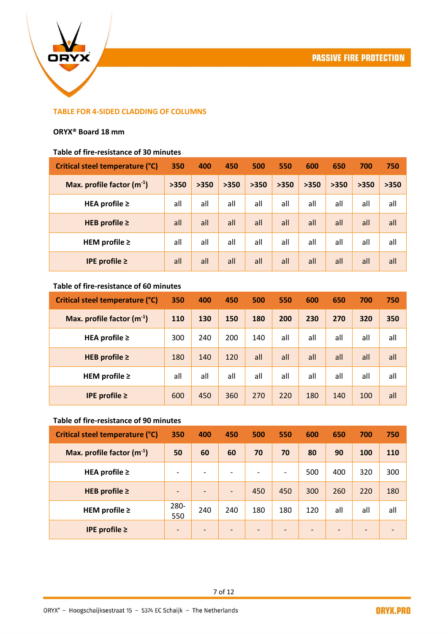

## TABLE FOR 4-SIDED CLADDING OF COLUMNS

#### ORYX® Board 18 mm

#### Table of fire-resistance of 30 minutes

| Critical steel temperature (°C) | 350  | 400  | 450  | 500  | 550  | 600  | 650  | 700  | 750  |
|---------------------------------|------|------|------|------|------|------|------|------|------|
| Max. profile factor $(m^{-1})$  | >350 | >350 | >350 | >350 | >350 | >350 | >350 | >350 | >350 |
| HEA profile $\geq$              | all  | all  | all  | all  | all  | all  | all  | all  | all  |
| HEB profile $\geq$              | all  | all  | all  | all  | all  | all  | all  | all  | all  |
| HEM profile $\geq$              | all  | all  | all  | all  | all  | all  | all  | all  | all  |
| IPE profile $\geq$              | all  | all  | all  | all  | all  | all  | all  | all  | all  |

## Table of fire-resistance of 60 minutes

| Critical steel temperature (°C) | 350 | 400 | 450 | 500 | 550 | 600 | 650 | 700 | 750 |
|---------------------------------|-----|-----|-----|-----|-----|-----|-----|-----|-----|
| Max. profile factor $(m^{-1})$  | 110 | 130 | 150 | 180 | 200 | 230 | 270 | 320 | 350 |
| HEA profile $\geq$              | 300 | 240 | 200 | 140 | all | all | all | all | all |
| HEB profile $\geq$              | 180 | 140 | 120 | all | all | all | all | all | all |
| HEM profile $\geq$              | all | all | all | all | all | all | all | all | all |
| IPE profile $\geq$              | 600 | 450 | 360 | 270 | 220 | 180 | 140 | 100 | all |

## Table of fire-resistance of 90 minutes

| Critical steel temperature (°C) | 350                          | 400                      | 450                      | 500                      | 550                          | 600                          | 650                      | 700             | 750 |
|---------------------------------|------------------------------|--------------------------|--------------------------|--------------------------|------------------------------|------------------------------|--------------------------|-----------------|-----|
| Max. profile factor $(m^{-1})$  | 50                           | 60                       | 60                       | 70                       | 70                           | 80                           | 90                       | 100             | 110 |
| HEA profile $\geq$              | $\overline{\phantom{0}}$     | $\overline{\phantom{a}}$ |                          |                          | $\overline{\phantom{a}}$     | 500                          | 400                      | 320             | 300 |
| HEB profile $\geq$              | $\qquad \qquad \blacksquare$ | $\overline{\phantom{a}}$ | $\overline{\phantom{a}}$ | 450                      | 450                          | 300                          | 260                      | 220             | 180 |
| HEM profile $\geq$              | 280-<br>550                  | 240                      | 240                      | 180                      | 180                          | 120                          | all                      | all             | all |
| IPE profile $\geq$              | $\qquad \qquad \blacksquare$ | $\overline{\phantom{a}}$ |                          | $\overline{\phantom{a}}$ | $\qquad \qquad \blacksquare$ | $\qquad \qquad \blacksquare$ | $\overline{\phantom{a}}$ | $\qquad \qquad$ |     |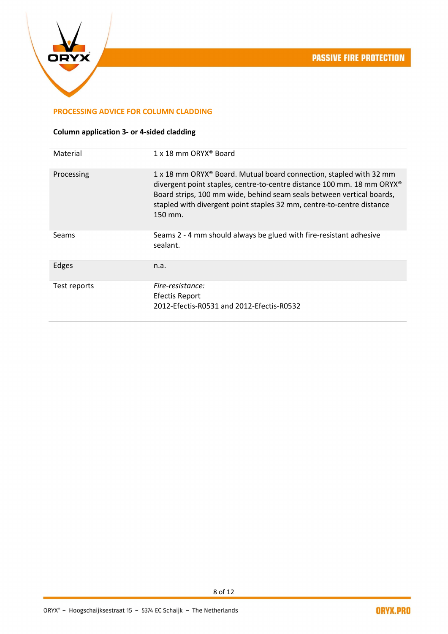

## PROCESSING ADVICE FOR COLUMN CLADDING

# Column application 3- or 4-sided cladding

| 1 x 18 mm ORYX <sup>®</sup> Board                                                                                                                                                                                                                                                                         |
|-----------------------------------------------------------------------------------------------------------------------------------------------------------------------------------------------------------------------------------------------------------------------------------------------------------|
|                                                                                                                                                                                                                                                                                                           |
| 1 x 18 mm ORYX® Board. Mutual board connection, stapled with 32 mm<br>divergent point staples, centre-to-centre distance 100 mm. 18 mm ORYX®<br>Board strips, 100 mm wide, behind seam seals between vertical boards,<br>stapled with divergent point staples 32 mm, centre-to-centre distance<br>150 mm. |
| Seams 2 - 4 mm should always be glued with fire-resistant adhesive<br>sealant.                                                                                                                                                                                                                            |
| n.a.                                                                                                                                                                                                                                                                                                      |
| Fire-resistance:                                                                                                                                                                                                                                                                                          |
| <b>Efectis Report</b>                                                                                                                                                                                                                                                                                     |
| 2012-Efectis-R0531 and 2012-Efectis-R0532                                                                                                                                                                                                                                                                 |
|                                                                                                                                                                                                                                                                                                           |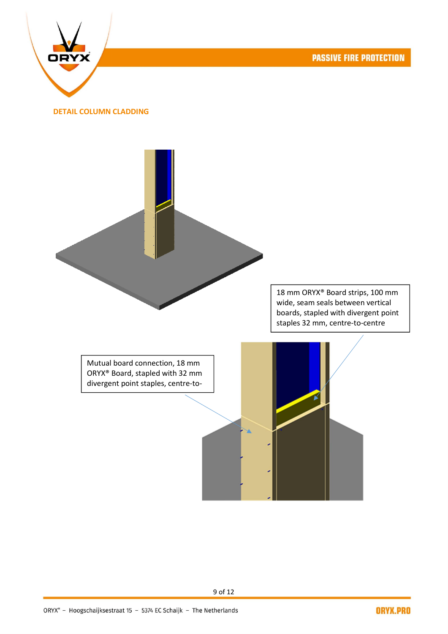**PASSIVE FIRE PROTECTION** 



#### DETAIL COLUMN CLADDING



18 mm ORYX® Board strips, 100 mm wide, seam seals between vertical boards, stapled with divergent point staples 32 mm, centre-to-centre

ORYX® Board, stapled with 32 mm divergent point staples, centre-to-

centre distance 100 mm.

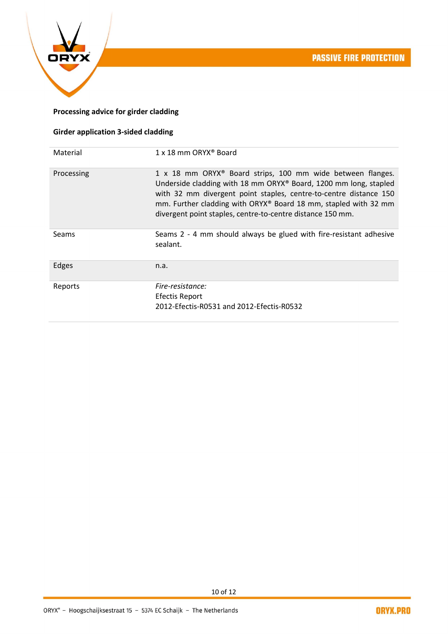

# Processing advice for girder cladding

# Girder application 3-sided cladding

| Material     | 1 x 18 mm ORYX <sup>®</sup> Board                                                                                                                                                                                                                                                                                                                |
|--------------|--------------------------------------------------------------------------------------------------------------------------------------------------------------------------------------------------------------------------------------------------------------------------------------------------------------------------------------------------|
| Processing   | 1 x 18 mm ORYX <sup>®</sup> Board strips, 100 mm wide between flanges.<br>Underside cladding with 18 mm ORYX® Board, 1200 mm long, stapled<br>with 32 mm divergent point staples, centre-to-centre distance 150<br>mm. Further cladding with ORYX® Board 18 mm, stapled with 32 mm<br>divergent point staples, centre-to-centre distance 150 mm. |
| <b>Seams</b> | Seams 2 - 4 mm should always be glued with fire-resistant adhesive<br>sealant.                                                                                                                                                                                                                                                                   |
| Edges        | n.a.                                                                                                                                                                                                                                                                                                                                             |
| Reports      | Fire-resistance:<br><b>Efectis Report</b><br>2012-Efectis-R0531 and 2012-Efectis-R0532                                                                                                                                                                                                                                                           |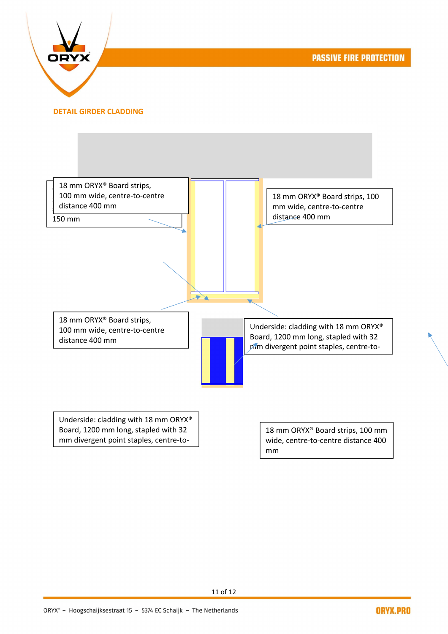**PASSIVE FIRE PROTECTION** 



DETAIL GIRDER CLADDING



mm divergent point staples, centre-to-

wide, centre-to-centre distance 400 mm